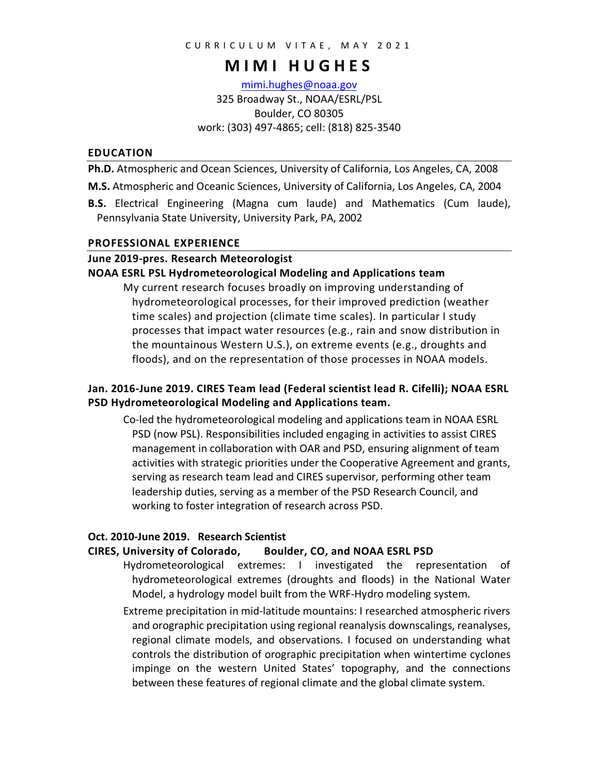# **MIMI HUGHES**

mimi.hughes@noaa.gov 325 Broadway St., NOAA/ESRL/PSL Boulder, CO 80305 work: (303) 497-4865; cell: (818) 825-3540

#### **EDUCATION**

**Ph.D.** Atmospheric and Ocean Sciences, University of California, Los Angeles, CA, 2008

- **M.S.** Atmospheric and Oceanic Sciences, University of California, Los Angeles, CA, 2004
- **B.S.** Electrical Engineering (Magna cum laude) and Mathematics (Cum laude), Pennsylvania State University, University Park, PA, 2002

#### **PROFESSIONAL EXPERIENCE**

#### **June 2019-pres. Research Meteorologist**

#### **NOAA ESRL PSL Hydrometeorological Modeling and Applications team**

My current research focuses broadly on improving understanding of hydrometeorological processes, for their improved prediction (weather time scales) and projection (climate time scales). In particular I study processes that impact water resources (e.g., rain and snow distribution in the mountainous Western U.S.), on extreme events (e.g., droughts and floods), and on the representation of those processes in NOAA models.

## **Jan. 2016-June 2019. CIRES Team lead (Federal scientist lead R. Cifelli); NOAA ESRL PSD Hydrometeorological Modeling and Applications team.**

Co-led the hydrometeorological modeling and applications team in NOAA ESRL PSD (now PSL). Responsibilities included engaging in activities to assist CIRES management in collaboration with OAR and PSD, ensuring alignment of team activities with strategic priorities under the Cooperative Agreement and grants, serving as research team lead and CIRES supervisor, performing other team leadership duties, serving as a member of the PSD Research Council, and working to foster integration of research across PSD.

#### **Oct. 2010-June 2019. Research Scientist**

#### **CIRES, University of Colorado, Boulder, CO, and NOAA ESRL PSD**

Hydrometeorological extremes: I investigated the representation of hydrometeorological extremes (droughts and floods) in the National Water Model, a hydrology model built from the WRF-Hydro modeling system.

Extreme precipitation in mid-latitude mountains: I researched atmospheric rivers and orographic precipitation using regional reanalysis downscalings, reanalyses, regional climate models, and observations. I focused on understanding what controls the distribution of orographic precipitation when wintertime cyclones impinge on the western United States' topography, and the connections between these features of regional climate and the global climate system.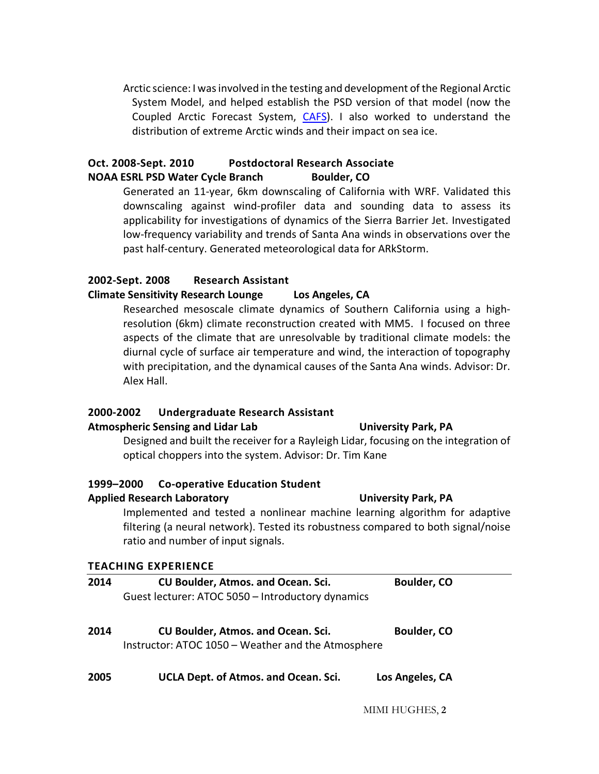Arctic science: I wasinvolved in the testing and development of the Regional Arctic System Model, and helped establish the PSD version of that model (now the Coupled Arctic Forecast System, CAFS). I also worked to understand the distribution of extreme Arctic winds and their impact on sea ice.

## **Oct. 2008-Sept. 2010 Postdoctoral Research Associate NOAA ESRL PSD Water Cycle Branch Boulder, CO**

Generated an 11-year, 6km downscaling of California with WRF. Validated this downscaling against wind-profiler data and sounding data to assess its applicability for investigations of dynamics of the Sierra Barrier Jet. Investigated low-frequency variability and trends of Santa Ana winds in observations over the past half-century. Generated meteorological data for ARkStorm.

## **2002-Sept. 2008 Research Assistant**

### **Climate Sensitivity Research Lounge Los Angeles, CA**

Researched mesoscale climate dynamics of Southern California using a highresolution (6km) climate reconstruction created with MM5. I focused on three aspects of the climate that are unresolvable by traditional climate models: the diurnal cycle of surface air temperature and wind, the interaction of topography with precipitation, and the dynamical causes of the Santa Ana winds. Advisor: Dr. Alex Hall.

## **2000-2002 Undergraduate Research Assistant**

#### **Atmospheric Sensing and Lidar Lab University Park, PA**

Designed and built the receiver for a Rayleigh Lidar, focusing on the integration of optical choppers into the system. Advisor: Dr. Tim Kane

### **1999–2000 Co-operative Education Student**

### **Applied Research Laboratory University Park, PA**

Implemented and tested a nonlinear machine learning algorithm for adaptive filtering (a neural network). Tested its robustness compared to both signal/noise ratio and number of input signals.

## **TEACHING EXPERIENCE**

| 2014 | <b>CU Boulder, Atmos. and Ocean. Sci.</b><br>Guest lecturer: ATOC 5050 - Introductory dynamics  | Boulder, CO     |
|------|-------------------------------------------------------------------------------------------------|-----------------|
| 2014 | <b>CU Boulder, Atmos. and Ocean. Sci.</b><br>Instructor: ATOC 1050 - Weather and the Atmosphere | Boulder, CO     |
| החר  | <b>UCLA</b> Dont of Atmos and Osoan Sci                                                         | Loc Angolac, CA |

**2005 UCLA Dept. of Atmos. and Ocean. Sci. Los Angeles, CA**

MIMI HUGHES, **2**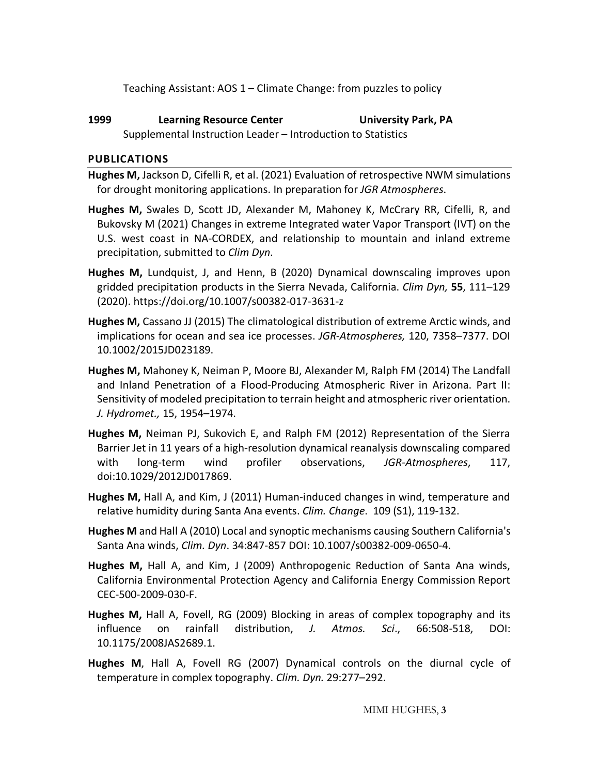Teaching Assistant: AOS 1 – Climate Change: from puzzles to policy

**1999 Learning Resource Center University Park, PA** Supplemental Instruction Leader – Introduction to Statistics

## **PUBLICATIONS**

- **Hughes M,** Jackson D, Cifelli R, et al. (2021) Evaluation of retrospective NWM simulations for drought monitoring applications. In preparation for *JGR Atmospheres*.
- **Hughes M,** Swales D, Scott JD, Alexander M, Mahoney K, McCrary RR, Cifelli, R, and Bukovsky M (2021) Changes in extreme Integrated water Vapor Transport (IVT) on the U.S. west coast in NA-CORDEX, and relationship to mountain and inland extreme precipitation, submitted to *Clim Dyn*.
- **Hughes M,** Lundquist, J, and Henn, B (2020) Dynamical downscaling improves upon gridded precipitation products in the Sierra Nevada, California. *Clim Dyn,* **55**, 111–129 (2020). https://doi.org/10.1007/s00382-017-3631-z
- **Hughes M,** Cassano JJ (2015) The climatological distribution of extreme Arctic winds, and implications for ocean and sea ice processes. *JGR-Atmospheres,* 120, 7358–7377. DOI 10.1002/2015JD023189.
- **Hughes M,** Mahoney K, Neiman P, Moore BJ, Alexander M, Ralph FM (2014) The Landfall and Inland Penetration of a Flood-Producing Atmospheric River in Arizona. Part II: Sensitivity of modeled precipitation to terrain height and atmospheric river orientation. *J. Hydromet.,* 15, 1954–1974.
- **Hughes M,** Neiman PJ, Sukovich E, and Ralph FM (2012) Representation of the Sierra Barrier Jet in 11 years of a high-resolution dynamical reanalysis downscaling compared with long-term wind profiler observations, *JGR-Atmospheres*, 117, doi:10.1029/2012JD017869.
- **Hughes M,** Hall A, and Kim, J (2011) Human-induced changes in wind, temperature and relative humidity during Santa Ana events. *Clim. Change*. 109 (S1), 119-132.
- **Hughes M** and Hall A (2010) Local and synoptic mechanisms causing Southern California's Santa Ana winds, *Clim. Dyn*. 34:847-857 DOI: 10.1007/s00382-009-0650-4.
- **Hughes M,** Hall A, and Kim, J (2009) Anthropogenic Reduction of Santa Ana winds, California Environmental Protection Agency and California Energy Commission Report CEC-500-2009-030-F.
- **Hughes M,** Hall A, Fovell, RG (2009) Blocking in areas of complex topography and its influence on rainfall distribution, *J. Atmos. Sci*., 66:508-518, DOI: 10.1175/2008JAS2689.1.
- **Hughes M**, Hall A, Fovell RG (2007) Dynamical controls on the diurnal cycle of temperature in complex topography. *Clim. Dyn.* 29:277–292.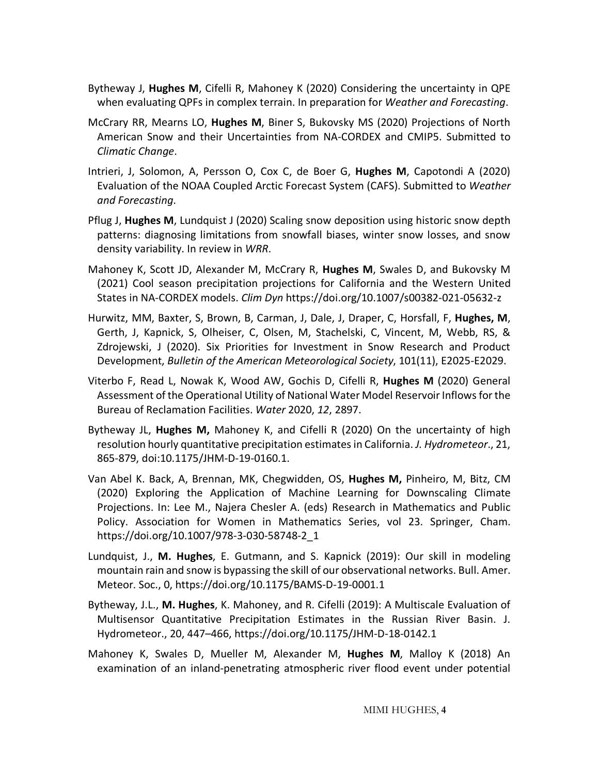- Bytheway J, **Hughes M**, Cifelli R, Mahoney K (2020) Considering the uncertainty in QPE when evaluating QPFs in complex terrain. In preparation for *Weather and Forecasting*.
- McCrary RR, Mearns LO, **Hughes M**, Biner S, Bukovsky MS (2020) Projections of North American Snow and their Uncertainties from NA-CORDEX and CMIP5. Submitted to *Climatic Change*.
- Intrieri, J, Solomon, A, Persson O, Cox C, de Boer G, **Hughes M**, Capotondi A (2020) Evaluation of the NOAA Coupled Arctic Forecast System (CAFS). Submitted to *Weather and Forecasting*.
- Pflug J, **Hughes M**, Lundquist J (2020) Scaling snow deposition using historic snow depth patterns: diagnosing limitations from snowfall biases, winter snow losses, and snow density variability. In review in *WRR*.
- Mahoney K, Scott JD, Alexander M, McCrary R, **Hughes M**, Swales D, and Bukovsky M (2021) Cool season precipitation projections for California and the Western United States in NA-CORDEX models. *Clim Dyn* https://doi.org/10.1007/s00382-021-05632-z
- Hurwitz, MM, Baxter, S, Brown, B, Carman, J, Dale, J, Draper, C, Horsfall, F, **Hughes, M**, Gerth, J, Kapnick, S, Olheiser, C, Olsen, M, Stachelski, C, Vincent, M, Webb, RS, & Zdrojewski, J (2020). Six Priorities for Investment in Snow Research and Product Development, *Bulletin of the American Meteorological Society*, 101(11), E2025-E2029.
- Viterbo F, Read L, Nowak K, Wood AW, Gochis D, Cifelli R, **Hughes M** (2020) General Assessment of the Operational Utility of National Water Model Reservoir Inflows for the Bureau of Reclamation Facilities. *Water* 2020, *12*, 2897.
- Bytheway JL, **Hughes M,** Mahoney K, and Cifelli R (2020) On the uncertainty of high resolution hourly quantitative precipitation estimates in California. *J. Hydrometeor*., 21, 865-879, doi:10.1175/JHM-D-19-0160.1.
- Van Abel K. Back, A, Brennan, MK, Chegwidden, OS, **Hughes M,** Pinheiro, M, Bitz, CM (2020) Exploring the Application of Machine Learning for Downscaling Climate Projections. In: Lee M., Najera Chesler A. (eds) Research in Mathematics and Public Policy. Association for Women in Mathematics Series, vol 23. Springer, Cham. https://doi.org/10.1007/978-3-030-58748-2\_1
- Lundquist, J., **M. Hughes**, E. Gutmann, and S. Kapnick (2019): Our skill in modeling mountain rain and snow is bypassing the skill of our observational networks. Bull. Amer. Meteor. Soc., 0, https://doi.org/10.1175/BAMS-D-19-0001.1
- Bytheway, J.L., **M. Hughes**, K. Mahoney, and R. Cifelli (2019): A Multiscale Evaluation of Multisensor Quantitative Precipitation Estimates in the Russian River Basin. J. Hydrometeor., 20, 447–466, https://doi.org/10.1175/JHM-D-18-0142.1
- Mahoney K, Swales D, Mueller M, Alexander M, **Hughes M**, Malloy K (2018) An examination of an inland-penetrating atmospheric river flood event under potential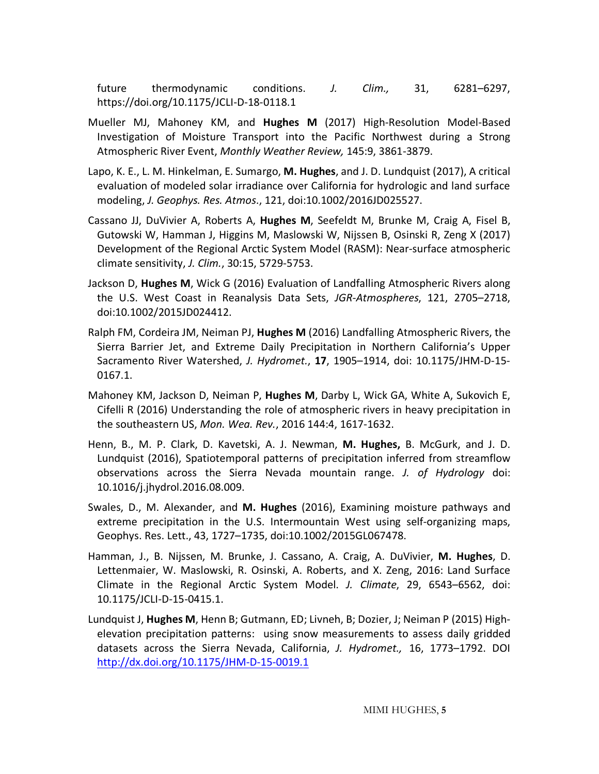future thermodynamic conditions. *J. Clim.,* 31, 6281–6297, https://doi.org/10.1175/JCLI-D-18-0118.1

- Mueller MJ, Mahoney KM, and **Hughes M** (2017) High-Resolution Model-Based Investigation of Moisture Transport into the Pacific Northwest during a Strong Atmospheric River Event, *Monthly Weather Review,* 145:9, 3861-3879.
- Lapo, K. E., L. M. Hinkelman, E. Sumargo, **M. Hughes**, and J. D. Lundquist (2017), A critical evaluation of modeled solar irradiance over California for hydrologic and land surface modeling, *J. Geophys. Res. Atmos*., 121, doi:10.1002/2016JD025527.
- Cassano JJ, DuVivier A, Roberts A, **Hughes M**, Seefeldt M, Brunke M, Craig A, Fisel B, Gutowski W, Hamman J, Higgins M, Maslowski W, Nijssen B, Osinski R, Zeng X (2017) Development of the Regional Arctic System Model (RASM): Near-surface atmospheric climate sensitivity, *J. Clim.*, 30:15, 5729-5753.
- Jackson D, **Hughes M**, Wick G (2016) Evaluation of Landfalling Atmospheric Rivers along the U.S. West Coast in Reanalysis Data Sets, *JGR-Atmospheres*, 121, 2705–2718, doi:10.1002/2015JD024412.
- Ralph FM, Cordeira JM, Neiman PJ, **Hughes M** (2016) Landfalling Atmospheric Rivers, the Sierra Barrier Jet, and Extreme Daily Precipitation in Northern California's Upper Sacramento River Watershed, *J. Hydromet.*, **17**, 1905–1914, doi: 10.1175/JHM-D-15- 0167.1.
- Mahoney KM, Jackson D, Neiman P, **Hughes M**, Darby L, Wick GA, White A, Sukovich E, Cifelli R (2016) Understanding the role of atmospheric rivers in heavy precipitation in the southeastern US, *Mon. Wea. Rev.*, 2016 144:4, 1617-1632.
- Henn, B., M. P. Clark, D. Kavetski, A. J. Newman, **M. Hughes,** B. McGurk, and J. D. Lundquist (2016), Spatiotemporal patterns of precipitation inferred from streamflow observations across the Sierra Nevada mountain range. *J. of Hydrology* doi: 10.1016/j.jhydrol.2016.08.009.
- Swales, D., M. Alexander, and **M. Hughes** (2016), Examining moisture pathways and extreme precipitation in the U.S. Intermountain West using self-organizing maps, Geophys. Res. Lett., 43, 1727–1735, doi:10.1002/2015GL067478.
- Hamman, J., B. Nijssen, M. Brunke, J. Cassano, A. Craig, A. DuVivier, **M. Hughes**, D. Lettenmaier, W. Maslowski, R. Osinski, A. Roberts, and X. Zeng, 2016: Land Surface Climate in the Regional Arctic System Model. *J. Climate*, 29, 6543–6562, doi: 10.1175/JCLI-D-15-0415.1.
- Lundquist J, **Hughes M**, Henn B; Gutmann, ED; Livneh, B; Dozier, J; Neiman P (2015) Highelevation precipitation patterns: using snow measurements to assess daily gridded datasets across the Sierra Nevada, California, *J. Hydromet.,* 16, 1773–1792. DOI http://dx.doi.org/10.1175/JHM-D-15-0019.1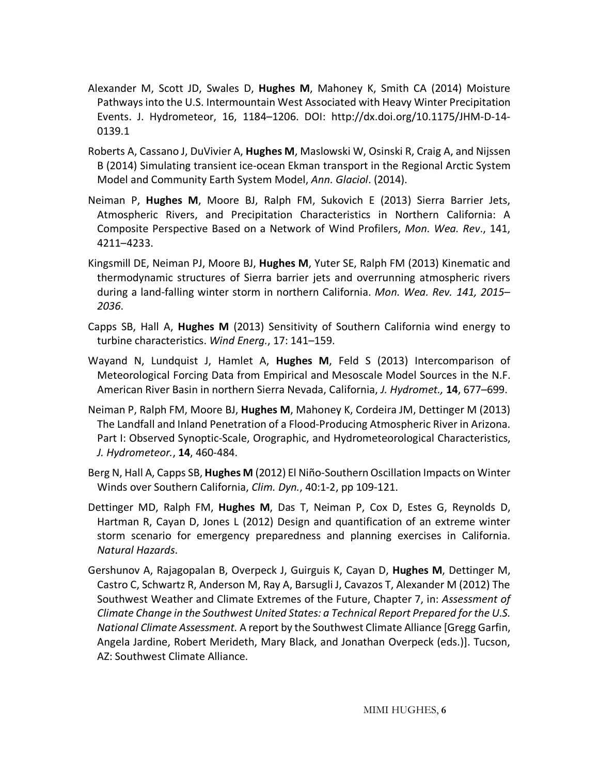- Alexander M, Scott JD, Swales D, **Hughes M**, Mahoney K, Smith CA (2014) Moisture Pathways into the U.S. Intermountain West Associated with Heavy Winter Precipitation Events. J. Hydrometeor, 16, 1184–1206. DOI: http://dx.doi.org/10.1175/JHM-D-14- 0139.1
- Roberts A, Cassano J, DuVivier A, **Hughes M**, Maslowski W, Osinski R, Craig A, and Nijssen B (2014) Simulating transient ice-ocean Ekman transport in the Regional Arctic System Model and Community Earth System Model, *Ann. Glaciol*. (2014).
- Neiman P, **Hughes M**, Moore BJ, Ralph FM, Sukovich E (2013) Sierra Barrier Jets, Atmospheric Rivers, and Precipitation Characteristics in Northern California: A Composite Perspective Based on a Network of Wind Profilers, *Mon. Wea. Rev*., 141, 4211–4233.
- Kingsmill DE, Neiman PJ, Moore BJ, **Hughes M**, Yuter SE, Ralph FM (2013) Kinematic and thermodynamic structures of Sierra barrier jets and overrunning atmospheric rivers during a land-falling winter storm in northern California. *Mon. Wea. Rev. 141, 2015– 2036*.
- Capps SB, Hall A, **Hughes M** (2013) Sensitivity of Southern California wind energy to turbine characteristics. *Wind Energ.*, 17: 141–159.
- Wayand N, Lundquist J, Hamlet A, **Hughes M**, Feld S (2013) Intercomparison of Meteorological Forcing Data from Empirical and Mesoscale Model Sources in the N.F. American River Basin in northern Sierra Nevada, California, *J. Hydromet.,* **14**, 677–699.
- Neiman P, Ralph FM, Moore BJ, **Hughes M**, Mahoney K, Cordeira JM, Dettinger M (2013) The Landfall and Inland Penetration of a Flood-Producing Atmospheric River in Arizona. Part I: Observed Synoptic-Scale, Orographic, and Hydrometeorological Characteristics, *J. Hydrometeor.*, **14**, 460-484.
- Berg N, Hall A, Capps SB, **Hughes M** (2012) El Niño-Southern Oscillation Impacts on Winter Winds over Southern California, *Clim. Dyn.*, 40:1-2, pp 109-121.
- Dettinger MD, Ralph FM, **Hughes M**, Das T, Neiman P, Cox D, Estes G, Reynolds D, Hartman R, Cayan D, Jones L (2012) Design and quantification of an extreme winter storm scenario for emergency preparedness and planning exercises in California. *Natural Hazards*.
- Gershunov A, Rajagopalan B, Overpeck J, Guirguis K, Cayan D, **Hughes M**, Dettinger M, Castro C, Schwartz R, Anderson M, Ray A, Barsugli J, Cavazos T, Alexander M (2012) The Southwest Weather and Climate Extremes of the Future, Chapter 7, in: *Assessment of Climate Change in the Southwest United States: a Technical Report Prepared for the U.S. National Climate Assessment.* A report by the Southwest Climate Alliance [Gregg Garfin, Angela Jardine, Robert Merideth, Mary Black, and Jonathan Overpeck (eds.)]. Tucson, AZ: Southwest Climate Alliance.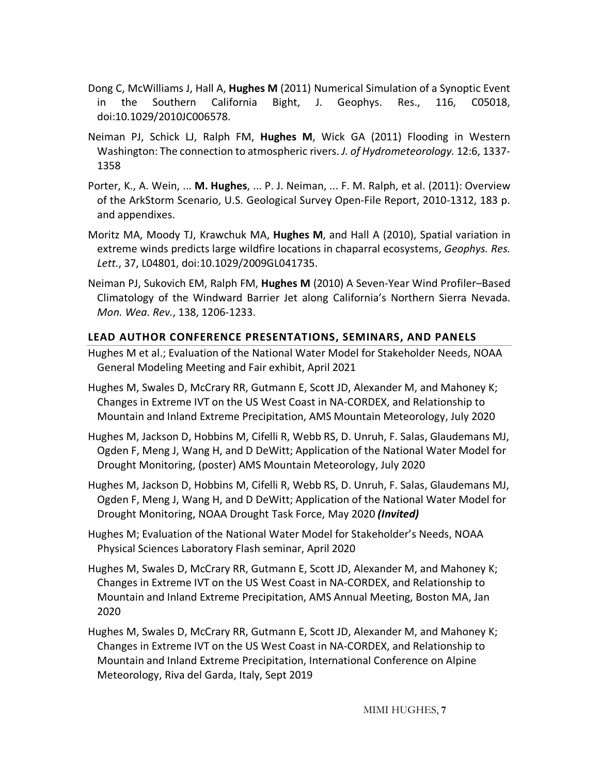- Dong C, McWilliams J, Hall A, **Hughes M** (2011) Numerical Simulation of a Synoptic Event in the Southern California Bight, J. Geophys. Res., 116, C05018, doi:10.1029/2010JC006578.
- Neiman PJ, Schick LJ, Ralph FM, **Hughes M**, Wick GA (2011) Flooding in Western Washington: The connection to atmospheric rivers. *J. of Hydrometeorology.* 12:6, 1337- 1358
- Porter, K., A. Wein, ... **M. Hughes**, ... P. J. Neiman, ... F. M. Ralph, et al. (2011): Overview of the ArkStorm Scenario, U.S. Geological Survey Open-File Report, 2010-1312, 183 p. and appendixes.
- Moritz MA, Moody TJ, Krawchuk MA, **Hughes M**, and Hall A (2010), Spatial variation in extreme winds predicts large wildfire locations in chaparral ecosystems, *Geophys. Res. Lett.*, 37, L04801, doi:10.1029/2009GL041735.
- Neiman PJ, Sukovich EM, Ralph FM, **Hughes M** (2010) A Seven-Year Wind Profiler–Based Climatology of the Windward Barrier Jet along California's Northern Sierra Nevada. *Mon. Wea. Rev.*, 138, 1206-1233.

## **LEAD AUTHOR CONFERENCE PRESENTATIONS, SEMINARS, AND PANELS**

- Hughes M et al.; Evaluation of the National Water Model for Stakeholder Needs, NOAA General Modeling Meeting and Fair exhibit, April 2021
- Hughes M, Swales D, McCrary RR, Gutmann E, Scott JD, Alexander M, and Mahoney K; Changes in Extreme IVT on the US West Coast in NA-CORDEX, and Relationship to Mountain and Inland Extreme Precipitation, AMS Mountain Meteorology, July 2020
- Hughes M, Jackson D, Hobbins M, Cifelli R, Webb RS, D. Unruh, F. Salas, Glaudemans MJ, Ogden F, Meng J, Wang H, and D DeWitt; Application of the National Water Model for Drought Monitoring, (poster) AMS Mountain Meteorology, July 2020
- Hughes M, Jackson D, Hobbins M, Cifelli R, Webb RS, D. Unruh, F. Salas, Glaudemans MJ, Ogden F, Meng J, Wang H, and D DeWitt; Application of the National Water Model for Drought Monitoring, NOAA Drought Task Force, May 2020 *(Invited)*
- Hughes M; Evaluation of the National Water Model for Stakeholder's Needs, NOAA Physical Sciences Laboratory Flash seminar, April 2020
- Hughes M, Swales D, McCrary RR, Gutmann E, Scott JD, Alexander M, and Mahoney K; Changes in Extreme IVT on the US West Coast in NA-CORDEX, and Relationship to Mountain and Inland Extreme Precipitation, AMS Annual Meeting, Boston MA, Jan 2020
- Hughes M, Swales D, McCrary RR, Gutmann E, Scott JD, Alexander M, and Mahoney K; Changes in Extreme IVT on the US West Coast in NA-CORDEX, and Relationship to Mountain and Inland Extreme Precipitation, International Conference on Alpine Meteorology, Riva del Garda, Italy, Sept 2019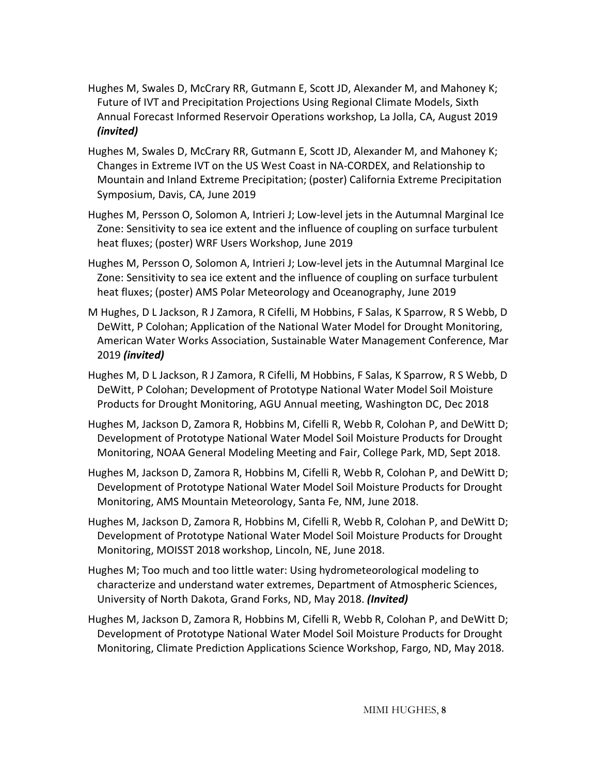- Hughes M, Swales D, McCrary RR, Gutmann E, Scott JD, Alexander M, and Mahoney K; Future of IVT and Precipitation Projections Using Regional Climate Models, Sixth Annual Forecast Informed Reservoir Operations workshop, La Jolla, CA, August 2019 *(invited)*
- Hughes M, Swales D, McCrary RR, Gutmann E, Scott JD, Alexander M, and Mahoney K; Changes in Extreme IVT on the US West Coast in NA-CORDEX, and Relationship to Mountain and Inland Extreme Precipitation; (poster) California Extreme Precipitation Symposium, Davis, CA, June 2019
- Hughes M, Persson O, Solomon A, Intrieri J; Low-level jets in the Autumnal Marginal Ice Zone: Sensitivity to sea ice extent and the influence of coupling on surface turbulent heat fluxes; (poster) WRF Users Workshop, June 2019
- Hughes M, Persson O, Solomon A, Intrieri J; Low-level jets in the Autumnal Marginal Ice Zone: Sensitivity to sea ice extent and the influence of coupling on surface turbulent heat fluxes; (poster) AMS Polar Meteorology and Oceanography, June 2019
- M Hughes, D L Jackson, R J Zamora, R Cifelli, M Hobbins, F Salas, K Sparrow, R S Webb, D DeWitt, P Colohan; Application of the National Water Model for Drought Monitoring, American Water Works Association, Sustainable Water Management Conference, Mar 2019 *(invited)*
- Hughes M, D L Jackson, R J Zamora, R Cifelli, M Hobbins, F Salas, K Sparrow, R S Webb, D DeWitt, P Colohan; Development of Prototype National Water Model Soil Moisture Products for Drought Monitoring, AGU Annual meeting, Washington DC, Dec 2018
- Hughes M, Jackson D, Zamora R, Hobbins M, Cifelli R, Webb R, Colohan P, and DeWitt D; Development of Prototype National Water Model Soil Moisture Products for Drought Monitoring, NOAA General Modeling Meeting and Fair, College Park, MD, Sept 2018.
- Hughes M, Jackson D, Zamora R, Hobbins M, Cifelli R, Webb R, Colohan P, and DeWitt D; Development of Prototype National Water Model Soil Moisture Products for Drought Monitoring, AMS Mountain Meteorology, Santa Fe, NM, June 2018.
- Hughes M, Jackson D, Zamora R, Hobbins M, Cifelli R, Webb R, Colohan P, and DeWitt D; Development of Prototype National Water Model Soil Moisture Products for Drought Monitoring, MOISST 2018 workshop, Lincoln, NE, June 2018.
- Hughes M; Too much and too little water: Using hydrometeorological modeling to characterize and understand water extremes, Department of Atmospheric Sciences, University of North Dakota, Grand Forks, ND, May 2018. *(Invited)*
- Hughes M, Jackson D, Zamora R, Hobbins M, Cifelli R, Webb R, Colohan P, and DeWitt D; Development of Prototype National Water Model Soil Moisture Products for Drought Monitoring, Climate Prediction Applications Science Workshop, Fargo, ND, May 2018.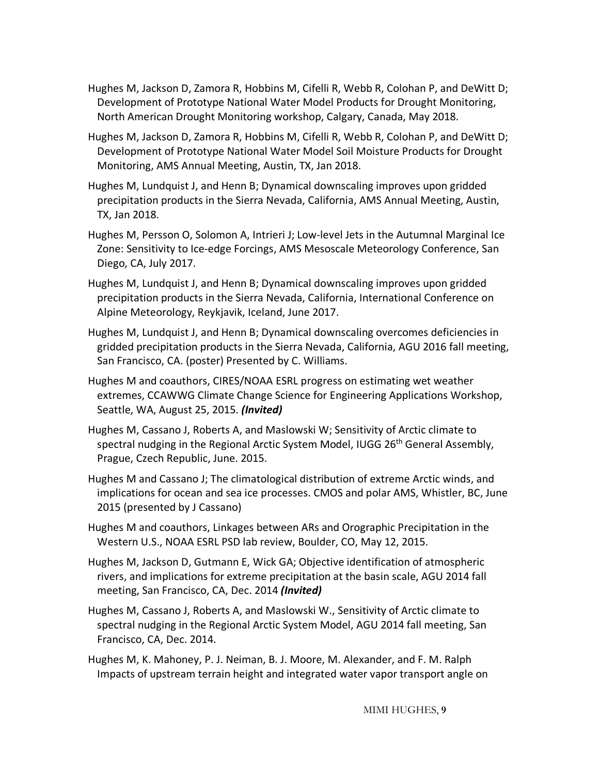- Hughes M, Jackson D, Zamora R, Hobbins M, Cifelli R, Webb R, Colohan P, and DeWitt D; Development of Prototype National Water Model Products for Drought Monitoring, North American Drought Monitoring workshop, Calgary, Canada, May 2018.
- Hughes M, Jackson D, Zamora R, Hobbins M, Cifelli R, Webb R, Colohan P, and DeWitt D; Development of Prototype National Water Model Soil Moisture Products for Drought Monitoring, AMS Annual Meeting, Austin, TX, Jan 2018.
- Hughes M, Lundquist J, and Henn B; Dynamical downscaling improves upon gridded precipitation products in the Sierra Nevada, California, AMS Annual Meeting, Austin, TX, Jan 2018.
- Hughes M, Persson O, Solomon A, Intrieri J; Low-level Jets in the Autumnal Marginal Ice Zone: Sensitivity to Ice-edge Forcings, AMS Mesoscale Meteorology Conference, San Diego, CA, July 2017.
- Hughes M, Lundquist J, and Henn B; Dynamical downscaling improves upon gridded precipitation products in the Sierra Nevada, California, International Conference on Alpine Meteorology, Reykjavik, Iceland, June 2017.
- Hughes M, Lundquist J, and Henn B; Dynamical downscaling overcomes deficiencies in gridded precipitation products in the Sierra Nevada, California, AGU 2016 fall meeting, San Francisco, CA. (poster) Presented by C. Williams.
- Hughes M and coauthors, CIRES/NOAA ESRL progress on estimating wet weather extremes, CCAWWG Climate Change Science for Engineering Applications Workshop, Seattle, WA, August 25, 2015. *(Invited)*
- Hughes M, Cassano J, Roberts A, and Maslowski W; Sensitivity of Arctic climate to spectral nudging in the Regional Arctic System Model, IUGG 26<sup>th</sup> General Assembly, Prague, Czech Republic, June. 2015.
- Hughes M and Cassano J; The climatological distribution of extreme Arctic winds, and implications for ocean and sea ice processes. CMOS and polar AMS, Whistler, BC, June 2015 (presented by J Cassano)
- Hughes M and coauthors, Linkages between ARs and Orographic Precipitation in the Western U.S., NOAA ESRL PSD lab review, Boulder, CO, May 12, 2015.
- Hughes M, Jackson D, Gutmann E, Wick GA; Objective identification of atmospheric rivers, and implications for extreme precipitation at the basin scale, AGU 2014 fall meeting, San Francisco, CA, Dec. 2014 *(Invited)*
- Hughes M, Cassano J, Roberts A, and Maslowski W., Sensitivity of Arctic climate to spectral nudging in the Regional Arctic System Model, AGU 2014 fall meeting, San Francisco, CA, Dec. 2014.
- Hughes M, K. Mahoney, P. J. Neiman, B. J. Moore, M. Alexander, and F. M. Ralph Impacts of upstream terrain height and integrated water vapor transport angle on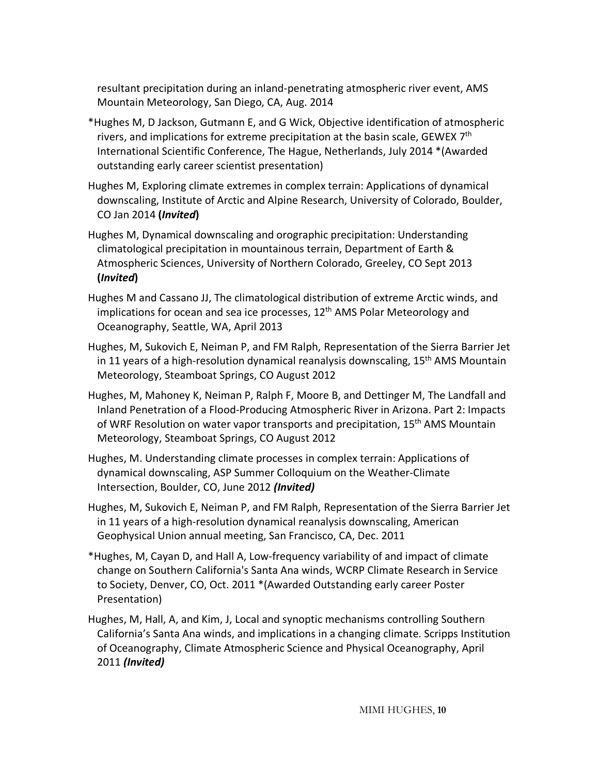resultant precipitation during an inland-penetrating atmospheric river event, AMS Mountain Meteorology, San Diego, CA, Aug. 2014

- \*Hughes M, D Jackson, Gutmann E, and G Wick, Objective identification of atmospheric rivers, and implications for extreme precipitation at the basin scale, GEWEX 7<sup>th</sup> International Scientific Conference, The Hague, Netherlands, July 2014 \*(Awarded outstanding early career scientist presentation)
- Hughes M, Exploring climate extremes in complex terrain: Applications of dynamical downscaling, Institute of Arctic and Alpine Research, University of Colorado, Boulder, CO Jan 2014 **(***Invited***)**
- Hughes M, Dynamical downscaling and orographic precipitation: Understanding climatological precipitation in mountainous terrain, Department of Earth & Atmospheric Sciences, University of Northern Colorado, Greeley, CO Sept 2013 **(***Invited***)**
- Hughes M and Cassano JJ, The climatological distribution of extreme Arctic winds, and implications for ocean and sea ice processes,  $12<sup>th</sup>$  AMS Polar Meteorology and Oceanography, Seattle, WA, April 2013
- Hughes, M, Sukovich E, Neiman P, and FM Ralph, Representation of the Sierra Barrier Jet in 11 years of a high-resolution dynamical reanalysis downscaling,  $15<sup>th</sup>$  AMS Mountain Meteorology, Steamboat Springs, CO August 2012
- Hughes, M, Mahoney K, Neiman P, Ralph F, Moore B, and Dettinger M, The Landfall and Inland Penetration of a Flood-Producing Atmospheric River in Arizona. Part 2: Impacts of WRF Resolution on water vapor transports and precipitation, 15<sup>th</sup> AMS Mountain Meteorology, Steamboat Springs, CO August 2012
- Hughes, M. Understanding climate processes in complex terrain: Applications of dynamical downscaling, ASP Summer Colloquium on the Weather-Climate Intersection, Boulder, CO, June 2012 *(Invited)*
- Hughes, M, Sukovich E, Neiman P, and FM Ralph, Representation of the Sierra Barrier Jet in 11 years of a high-resolution dynamical reanalysis downscaling, American Geophysical Union annual meeting, San Francisco, CA, Dec. 2011
- \*Hughes, M, Cayan D, and Hall A, Low-frequency variability of and impact of climate change on Southern California's Santa Ana winds, WCRP Climate Research in Service to Society, Denver, CO, Oct. 2011 \*(Awarded Outstanding early career Poster Presentation)
- Hughes, M, Hall, A, and Kim, J, Local and synoptic mechanisms controlling Southern California's Santa Ana winds, and implications in a changing climate. Scripps Institution of Oceanography, Climate Atmospheric Science and Physical Oceanography, April 2011 *(Invited)*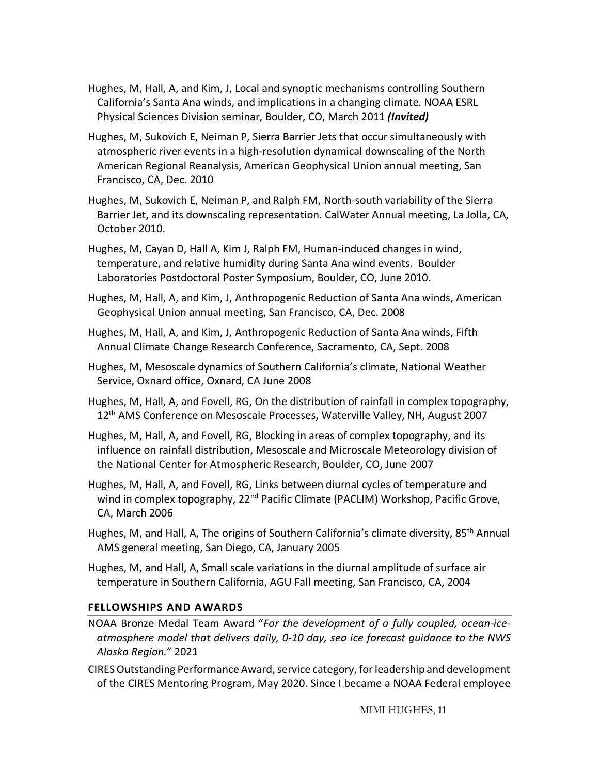- Hughes, M, Hall, A, and Kim, J, Local and synoptic mechanisms controlling Southern California's Santa Ana winds, and implications in a changing climate. NOAA ESRL Physical Sciences Division seminar, Boulder, CO, March 2011 *(Invited)*
- Hughes, M, Sukovich E, Neiman P, Sierra Barrier Jets that occur simultaneously with atmospheric river events in a high-resolution dynamical downscaling of the North American Regional Reanalysis, American Geophysical Union annual meeting, San Francisco, CA, Dec. 2010
- Hughes, M, Sukovich E, Neiman P, and Ralph FM, North-south variability of the Sierra Barrier Jet, and its downscaling representation. CalWater Annual meeting, La Jolla, CA, October 2010.
- Hughes, M, Cayan D, Hall A, Kim J, Ralph FM, Human-induced changes in wind, temperature, and relative humidity during Santa Ana wind events. Boulder Laboratories Postdoctoral Poster Symposium, Boulder, CO, June 2010.
- Hughes, M, Hall, A, and Kim, J, Anthropogenic Reduction of Santa Ana winds, American Geophysical Union annual meeting, San Francisco, CA, Dec. 2008
- Hughes, M, Hall, A, and Kim, J, Anthropogenic Reduction of Santa Ana winds, Fifth Annual Climate Change Research Conference, Sacramento, CA, Sept. 2008
- Hughes, M, Mesoscale dynamics of Southern California's climate, National Weather Service, Oxnard office, Oxnard, CA June 2008
- Hughes, M, Hall, A, and Fovell, RG, On the distribution of rainfall in complex topography, 12<sup>th</sup> AMS Conference on Mesoscale Processes, Waterville Valley, NH, August 2007
- Hughes, M, Hall, A, and Fovell, RG, Blocking in areas of complex topography, and its influence on rainfall distribution, Mesoscale and Microscale Meteorology division of the National Center for Atmospheric Research, Boulder, CO, June 2007
- Hughes, M, Hall, A, and Fovell, RG, Links between diurnal cycles of temperature and wind in complex topography, 22<sup>nd</sup> Pacific Climate (PACLIM) Workshop, Pacific Grove, CA, March 2006
- Hughes, M, and Hall, A, The origins of Southern California's climate diversity, 85<sup>th</sup> Annual AMS general meeting, San Diego, CA, January 2005
- Hughes, M, and Hall, A, Small scale variations in the diurnal amplitude of surface air temperature in Southern California, AGU Fall meeting, San Francisco, CA, 2004

## **FELLOWSHIPS AND AWARDS**

- NOAA Bronze Medal Team Award "*For the development of a fully coupled, ocean-iceatmosphere model that delivers daily, 0-10 day, sea ice forecast guidance to the NWS Alaska Region.*" 2021
- CIRES Outstanding Performance Award, service category, for leadership and development of the CIRES Mentoring Program, May 2020. Since I became a NOAA Federal employee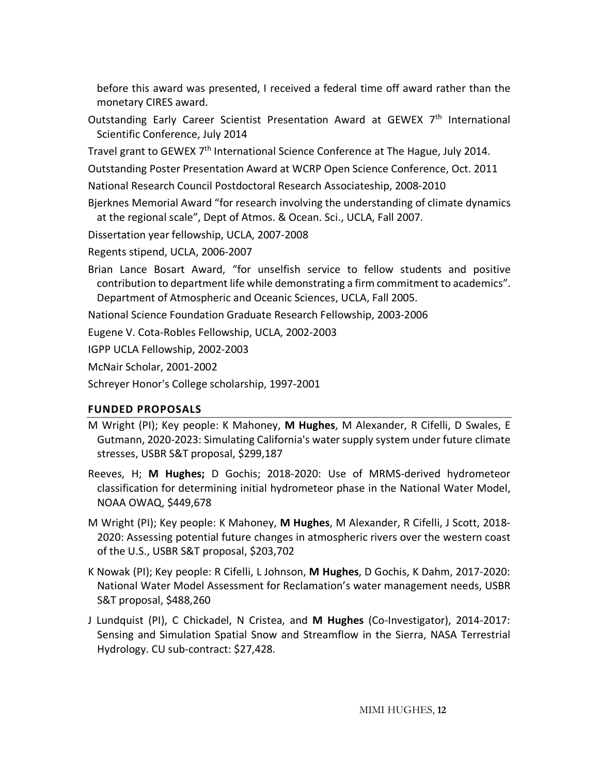before this award was presented, I received a federal time off award rather than the monetary CIRES award.

Outstanding Early Career Scientist Presentation Award at GEWEX 7<sup>th</sup> International Scientific Conference, July 2014

Travel grant to GEWEX 7<sup>th</sup> International Science Conference at The Hague, July 2014.

Outstanding Poster Presentation Award at WCRP Open Science Conference, Oct. 2011

- National Research Council Postdoctoral Research Associateship, 2008-2010
- Bjerknes Memorial Award "for research involving the understanding of climate dynamics at the regional scale", Dept of Atmos. & Ocean. Sci., UCLA, Fall 2007.

Dissertation year fellowship, UCLA, 2007-2008

Regents stipend, UCLA, 2006-2007

Brian Lance Bosart Award, "for unselfish service to fellow students and positive contribution to department life while demonstrating a firm commitment to academics". Department of Atmospheric and Oceanic Sciences, UCLA, Fall 2005.

National Science Foundation Graduate Research Fellowship, 2003-2006

Eugene V. Cota-Robles Fellowship, UCLA, 2002-2003

IGPP UCLA Fellowship, 2002-2003

McNair Scholar, 2001-2002

Schreyer Honor's College scholarship, 1997-2001

# **FUNDED PROPOSALS**

- M Wright (PI); Key people: K Mahoney, **M Hughes**, M Alexander, R Cifelli, D Swales, E Gutmann, 2020-2023: Simulating California's water supply system under future climate stresses, USBR S&T proposal, \$299,187
- Reeves, H; **M Hughes;** D Gochis; 2018-2020: Use of MRMS-derived hydrometeor classification for determining initial hydrometeor phase in the National Water Model, NOAA OWAQ, \$449,678
- M Wright (PI); Key people: K Mahoney, **M Hughes**, M Alexander, R Cifelli, J Scott, 2018- 2020: Assessing potential future changes in atmospheric rivers over the western coast of the U.S., USBR S&T proposal, \$203,702
- K Nowak (PI); Key people: R Cifelli, L Johnson, **M Hughes**, D Gochis, K Dahm, 2017-2020: National Water Model Assessment for Reclamation's water management needs, USBR S&T proposal, \$488,260
- J Lundquist (PI), C Chickadel, N Cristea, and **M Hughes** (Co-Investigator), 2014-2017: Sensing and Simulation Spatial Snow and Streamflow in the Sierra, NASA Terrestrial Hydrology. CU sub-contract: \$27,428.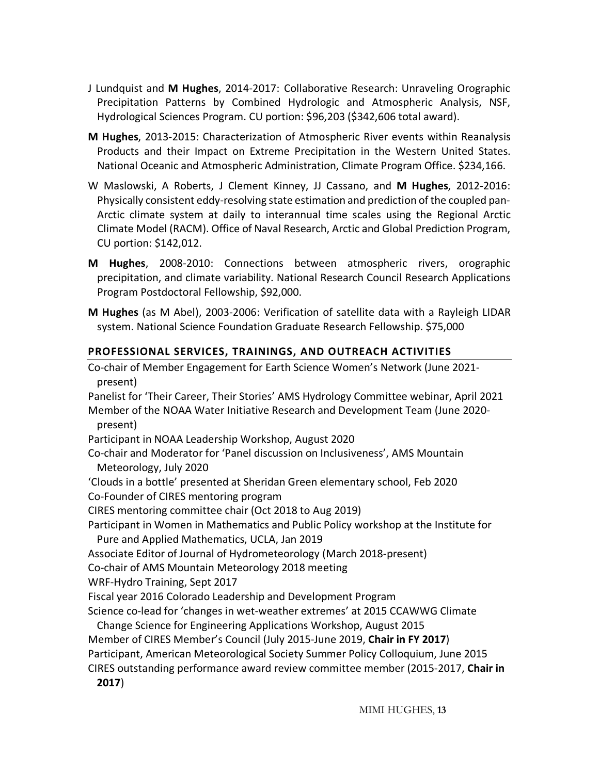- J Lundquist and **M Hughes**, 2014-2017: Collaborative Research: Unraveling Orographic Precipitation Patterns by Combined Hydrologic and Atmospheric Analysis, NSF, Hydrological Sciences Program. CU portion: \$96,203 (\$342,606 total award).
- **M Hughes**, 2013-2015: Characterization of Atmospheric River events within Reanalysis Products and their Impact on Extreme Precipitation in the Western United States. National Oceanic and Atmospheric Administration, Climate Program Office. \$234,166.
- W Maslowski, A Roberts, J Clement Kinney, JJ Cassano, and **M Hughes**, 2012-2016: Physically consistent eddy-resolving state estimation and prediction of the coupled pan-Arctic climate system at daily to interannual time scales using the Regional Arctic Climate Model (RACM). Office of Naval Research, Arctic and Global Prediction Program, CU portion: \$142,012.
- **M Hughes**, 2008-2010: Connections between atmospheric rivers, orographic precipitation, and climate variability. National Research Council Research Applications Program Postdoctoral Fellowship, \$92,000.
- **M Hughes** (as M Abel), 2003-2006: Verification of satellite data with a Rayleigh LIDAR system. National Science Foundation Graduate Research Fellowship. \$75,000

# **PROFESSIONAL SERVICES, TRAININGS, AND OUTREACH ACTIVITIES**

Co-chair of Member Engagement for Earth Science Women's Network (June 2021 present) Panelist for 'Their Career, Their Stories' AMS Hydrology Committee webinar, April 2021 Member of the NOAA Water Initiative Research and Development Team (June 2020 present) Participant in NOAA Leadership Workshop, August 2020 Co-chair and Moderator for 'Panel discussion on Inclusiveness', AMS Mountain Meteorology, July 2020 'Clouds in a bottle' presented at Sheridan Green elementary school, Feb 2020 Co-Founder of CIRES mentoring program CIRES mentoring committee chair (Oct 2018 to Aug 2019) Participant in Women in Mathematics and Public Policy workshop at the Institute for Pure and Applied Mathematics, UCLA, Jan 2019 Associate Editor of Journal of Hydrometeorology (March 2018-present) Co-chair of AMS Mountain Meteorology 2018 meeting WRF-Hydro Training, Sept 2017 Fiscal year 2016 Colorado Leadership and Development Program Science co-lead for 'changes in wet-weather extremes' at 2015 CCAWWG Climate Change Science for Engineering Applications Workshop, August 2015 Member of CIRES Member's Council (July 2015-June 2019, **Chair in FY 2017**) Participant, American Meteorological Society Summer Policy Colloquium, June 2015 CIRES outstanding performance award review committee member (2015-2017, **Chair in 2017**)